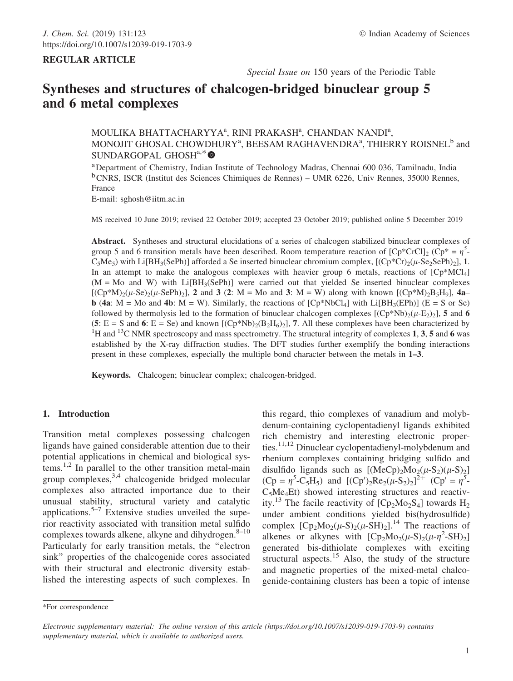Special Issue on 150 years of the Periodic Table

# Syntheses and structures of chalcogen-bridged binuclear group 5 and 6 metal complexes

# MOULIKA BHATTACHARYYA<sup>a</sup>, RINI PRAKASH<sup>a</sup>, CHANDAN NANDI<sup>a</sup>, MONOJIT GHOSAL CHOWDHURY<sup>a</sup>, BEESAM RAGHAVENDRA $^{\rm a}$ , THIERRY ROISNEL $^{\rm b}$  and SUNDARGOPAL GHOSH<sup>a,\*</sup>

aDepartment of Chemistry, Indian Institute of Technology Madras, Chennai 600 036, Tamilnadu, India <sup>b</sup>CNRS, ISCR (Institut des Sciences Chimiques de Rennes) – UMR 6226, Univ Rennes, 35000 Rennes, France

E-mail: sghosh@iitm.ac.in

MS received 10 June 2019; revised 22 October 2019; accepted 23 October 2019; published online 5 December 2019

Abstract. Syntheses and structural elucidations of a series of chalcogen stabilized binuclear complexes of group 5 and 6 transition metals have been described. Room temperature reaction of  $[Cp^*CrCl]_2$  ( $Cp^* = \eta^5$ - $C_5Me_5$ ) with Li[BH<sub>3</sub>(SePh)] afforded a Se inserted binuclear chromium complex,  $[(Cp*Cr)_2(\mu-Se_2SePh)_2]$ , 1. In an attempt to make the analogous complexes with heavier group 6 metals, reactions of  $[Cp^*MCl_4]$  $(M = Mo$  and W) with  $Li[BH_3(SePh)]$  were carried out that yielded Se inserted binuclear complexes  $[(Cp*M)_2(\mu-Se)_2(\mu-SePh)_2]$ , 2 and 3 (2: M = Mo and 3: M = W) along with known  $[(Cp*M)_2B_5H_9]$ , 4a– **b** (4a: M = Mo and 4b: M = W). Similarly, the reactions of  $[CP^*NbCl_4]$  with Li $[BH_3(EPh)]$  (E = S or Se) followed by thermolysis led to the formation of binuclear chalcogen complexes  $[(Cp*Nb)_{2}(\mu-E_{2})_{2}]$ , 5 and 6 (5: E = S and 6: E = Se) and known  $[(Cp*Nb)_2(B_2H_6)_2]$ , 7. All these complexes have been characterized by <sup>1</sup>H and <sup>13</sup>C NMR spectroscopy and mass spectrometry. The structural integrity of complexes 1, 3, 5 and 6 was established by the X-ray diffraction studies. The DFT studies further exemplify the bonding interactions present in these complexes, especially the multiple bond character between the metals in 1–3.

Keywords. Chalcogen; binuclear complex; chalcogen-bridged.

### 1. Introduction

Transition metal complexes possessing chalcogen ligands have gained considerable attention due to their potential applications in chemical and biological systems.<sup>1,2</sup> In parallel to the other transition metal-main group complexes,  $3,4$  chalcogenide bridged molecular complexes also attracted importance due to their unusual stability, structural variety and catalytic applications.<sup>5–7</sup> Extensive studies unveiled the superior reactivity associated with transition metal sulfido complexes towards alkene, alkyne and dihydrogen. $8-10$ Particularly for early transition metals, the ''electron sink'' properties of the chalcogenide cores associated with their structural and electronic diversity established the interesting aspects of such complexes. In

this regard, thio complexes of vanadium and molybdenum-containing cyclopentadienyl ligands exhibited rich chemistry and interesting electronic properties.<sup>11,12</sup> Dinuclear cyclopentadienyl-molybdenum and rhenium complexes containing bridging sulfido and disulfido ligands such as  $[(MeCp)_2Mo_2(\mu-S_2)(\mu-S)_2]$  $(Cp = \eta^5 - C_5H_5)$  and  $[(Cp')_2Re_2(\mu-S_2)_2]^{\frac{1}{2}+}$   $(Cp' = \eta^{\frac{1}{5}})$  $C_5Me<sub>4</sub>Et$ ) showed interesting structures and reactivity.<sup>13</sup> The facile reactivity of  $[Cp_2Mo_2S_4]$  towards  $H_2$ under ambient conditions yielded bis(hydrosulfide) complex  $[Cp_2Mo_2(\mu-S)_2(\mu-SH)_2]$ <sup>14</sup>. The reactions of alkenes or alkynes with  $[Cp_2Mo_2(\mu-S)_2(\mu-\eta^2-SH)_2]$ generated bis-dithiolate complexes with exciting structural aspects.<sup>15</sup> Also, the study of the structure and magnetic properties of the mixed-metal chalcogenide-containing clusters has been a topic of intense

<sup>\*</sup>For correspondence

Electronic supplementary material: The online version of this article (https://doi.org/10.1007/s12039-019-1703-9) contains supplementary material, which is available to authorized users.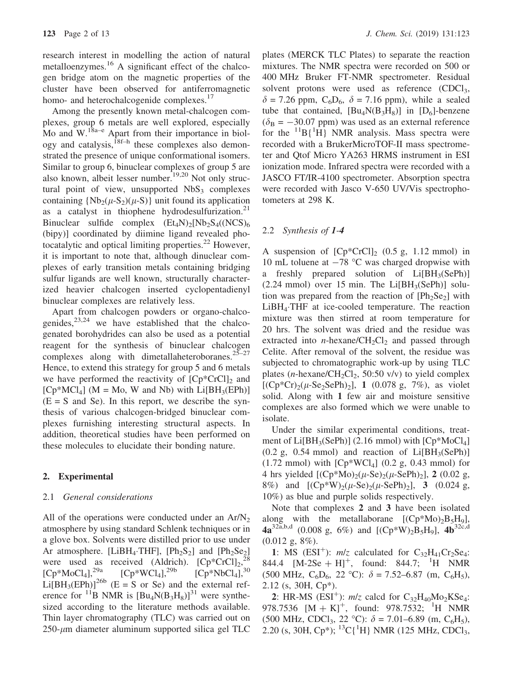research interest in modelling the action of natural metalloenzymes.<sup>16</sup> A significant effect of the chalcogen bridge atom on the magnetic properties of the cluster have been observed for antiferromagnetic homo- and heterochalcogenide complexes.<sup>17</sup>

Among the presently known metal-chalcogen complexes, group 6 metals are well explored, especially Mo and  $W$ .<sup>18a–e</sup> Apart from their importance in biology and catalysis,<sup>18f–h</sup> these complexes also demonstrated the presence of unique conformational isomers. Similar to group 6, binuclear complexes of group 5 are also known, albeit lesser number.19,20 Not only structural point of view, unsupported  $NbS<sub>3</sub>$  complexes containing  $\{Nb_2(\mu-S_2)(\mu-S)\}\$  unit found its application as a catalyst in thiophene hydrodesulfurization. $2<sup>1</sup>$ Binuclear sulfide complex  $(Et_4N)_2[Nb_2S_4(NCS)_6]$ (bipy)] coordinated by diimine ligand revealed photocatalytic and optical limiting properties.<sup>22</sup> However, it is important to note that, although dinuclear complexes of early transition metals containing bridging sulfur ligands are well known, structurally characterized heavier chalcogen inserted cyclopentadienyl binuclear complexes are relatively less.

Apart from chalcogen powders or organo-chalcogenides, $23,24$  we have established that the chalcogenated borohydrides can also be used as a potential reagent for the synthesis of binuclear chalcogen complexes along with dimetallaheteroboranes. $25-27$ Hence, to extend this strategy for group 5 and 6 metals we have performed the reactivity of  $[Cp^*CrCl]_2$  and  $[CP^*MCl_4]$  (M = Mo, W and Nb) with  $Li[BH_3(EPh)]$  $(E = S$  and Se). In this report, we describe the synthesis of various chalcogen-bridged binuclear complexes furnishing interesting structural aspects. In addition, theoretical studies have been performed on these molecules to elucidate their bonding nature.

#### 2. Experimental

### 2.1 General considerations

All of the operations were conducted under an  $Ar/N<sub>2</sub>$ atmosphere by using standard Schlenk techniques or in a glove box. Solvents were distilled prior to use under Ar atmosphere. [LiBH<sub>4</sub>·THF],  $[Ph_2S_2]$  and  $[Ph_2Se_2]$ were used as received (Aldrich).  $[CP^*CrCl]_2$ <sup>28</sup>  $[Cp*MoCl<sub>4</sub>]<sup>29a</sup>$   $[Cp*WCl<sub>4</sub>]<sup>29b</sup>$   $[Cp*NbCl<sub>4</sub>]<sup>30</sup>$  $Li[BH_3(EPh)]^{26b}$  (E = S or Se) and the external reference for <sup>11</sup>B NMR is  $[Bu_4N(B_3H_8)]^{31}$  were synthesized according to the literature methods available. Thin layer chromatography (TLC) was carried out on  $250$ - $\mu$ m diameter aluminum supported silica gel TLC plates (MERCK TLC Plates) to separate the reaction mixtures. The NMR spectra were recorded on 500 or 400 MHz Bruker FT-NMR spectrometer. Residual solvent protons were used as reference (CDCl<sub>3</sub>,  $\delta$  = 7.26 ppm, C<sub>6</sub>D<sub>6</sub>,  $\delta$  = 7.16 ppm), while a sealed tube that contained,  $[Bu_4N(B_3H_8)]$  in  $[D_6]$ -benzene  $(\delta_{\text{B}} = -30.07 \text{ ppm})$  was used as an external reference for the  ${}^{11}B\{{}^{1}H\}$  NMR analysis. Mass spectra were recorded with a BrukerMicroTOF-II mass spectrometer and Qtof Micro YA263 HRMS instrument in ESI ionization mode. Infrared spectra were recorded with a JASCO FT/IR-4100 spectrometer. Absorption spectra were recorded with Jasco V-650 UV/Vis spectrophotometers at 298 K.

#### 2.2 Synthesis of 1-4

A suspension of  $[Cp*CrCl]_2$  (0.5 g, 1.12 mmol) in 10 mL toluene at  $-78$  °C was charged dropwise with a freshly prepared solution of  $Li[BH_3(SePh)]$  $(2.24 \text{ mmol})$  over 15 min. The Li $[BH_3(SePh)]$  solution was prepared from the reaction of  $[Ph<sub>2</sub>Se<sub>2</sub>]$  with LiBH4-THF at ice-cooled temperature. The reaction mixture was then stirred at room temperature for 20 hrs. The solvent was dried and the residue was extracted into *n*-hexane/ $CH_2Cl_2$  and passed through Celite. After removal of the solvent, the residue was subjected to chromatographic work-up by using TLC plates (*n*-hexane/CH<sub>2</sub>Cl<sub>2</sub>, 50:50 v/v) to yield complex  $[(Cp*Cr)_{2}(\mu-Se_{2}SePh)_{2}]$ , 1 (0.078 g, 7%), as violet solid. Along with 1 few air and moisture sensitive complexes are also formed which we were unable to isolate.

Under the similar experimental conditions, treatment of  $Li[BH_3(SePh)]$  (2.16 mmol) with  $[Cp*MoCl<sub>4</sub>]$  $(0.2 \text{ g}, 0.54 \text{ mmol})$  and reaction of Li[BH<sub>3</sub>(SePh)]  $(1.72 \text{ mmol})$  with  $[Cp*WCl_4]$   $(0.2 \text{ g}, 0.43 \text{ mmol})$  for 4 hrs yielded  $[(Cp*Mo)<sub>2</sub>(\mu-Se)<sub>2</sub>(\mu-SePh)<sub>2</sub>]$ , 2 (0.02 g, 8%) and  $[(Cp*W)_2(\mu-Se)_2(\mu-SePh)_2]$ , 3 (0.024 g, 10%) as blue and purple solids respectively.

Note that complexes 2 and 3 have been isolated along with the metallaborane  $[(Cp*Mo)_2B_5H_9]$ ,  $4a^{32a,b,d}$  (0.008 g, 6%) and  $[(Cp*W)_2B_5H_9]$ ,  $4b^{32c,d}$  $(0.012 \text{ g}, 8\%)$ .

1: MS (ESI<sup>+</sup>):  $m/z$  calculated for  $C_{32}H_{41}Cr_2Se_4$ : 844.4  $[M-2Se + H]^{+}$ , found: 844.7; <sup>1</sup>H NMR  $(500 \text{ MHz}, \text{ C}_6\text{D}_6, 22 \text{ °C})$ :  $\delta = 7.52{\text -}6.87 \text{ (m, C}_6\text{H}_5)$ , 2.12 (s, 30H, Cp\*).

2: HR-MS (ESI<sup>+</sup>):  $m/z$  calcd for  $C_{32}H_{40}Mo_{2}KSe_{4}$ : 978.7536  $[M + K]^+$ , found: 978.7532; <sup>1</sup>H NMR (500 MHz, CDCl<sub>3</sub>, 22 °C):  $\delta$  = 7.01–6.89 (m, C<sub>6</sub>H<sub>5</sub>), 2.20 (s, 30H, Cp<sup>\*</sup>); <sup>13</sup>C{<sup>1</sup>H} NMR (125 MHz, CDCl<sub>3</sub>,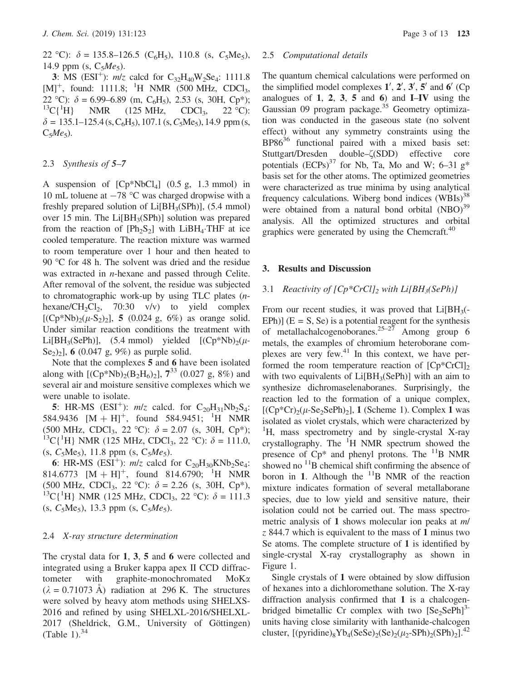3: MS (ESI<sup>+</sup>):  $m/z$  calcd for  $C_{32}H_{40}W_{2}Se_{4}$ : 1111.8  $[M]^+$ , found: 1111.8; <sup>1</sup>H NMR (500 MHz, CDCl<sub>3</sub>, 22 °C):  $\delta = 6.99 - 6.89$  (m, C<sub>6</sub>H<sub>5</sub>), 2.53 (s, 30H, Cp<sup>\*</sup>);  ${}^{13}C\{{}^{1}H\}$ NMR  $(125 \text{ MHz}, \text{CDCl}_3, 22 \text{ °C})$ :  $\delta = 135.1 - 125.4$  (s, C<sub>6</sub>H<sub>5</sub>), 107.1 (s, C<sub>5</sub>Me<sub>5</sub>), 14.9 ppm (s,  $C_5Me_5$ ).

### 2.3 Synthesis of 5–7

A suspension of  $[CP^*NbCl_4]$  (0.5 g, 1.3 mmol) in 10 mL toluene at  $-78$  °C was charged dropwise with a freshly prepared solution of  $Li[BH<sub>3</sub>(SPh)]$ , (5.4 mmol) over 15 min. The Li $[BH_3(SPh)]$  solution was prepared from the reaction of  $[Ph<sub>2</sub>S<sub>2</sub>]$  with LiBH<sub>4</sub>. THF at ice cooled temperature. The reaction mixture was warmed to room temperature over 1 hour and then heated to 90 °C for 48 h. The solvent was dried and the residue was extracted in n-hexane and passed through Celite. After removal of the solvent, the residue was subjected to chromatographic work-up by using TLC plates (nhexane/CH<sub>2</sub>Cl<sub>2</sub>, 70:30 v/v) to yield complex  $[(Cp*Nb)<sub>2</sub>(\mu-S<sub>2</sub>)<sub>2</sub>]$ , 5 (0.024 g, 6%) as orange solid. Under similar reaction conditions the treatment with Li[BH<sub>3</sub>(SePh)], (5.4 mmol) yielded  $[(Cp*Nb)<sub>2</sub>(\mu-$ Se<sub>2</sub>)<sub>2</sub>], 6 (0.047 g, 9%) as purple solid.

Note that the complexes 5 and 6 have been isolated along with  $[(Cp*Nb)_{2}(B_2H_6)_{2}]$ ,  $7^{33}$  (0.027 g, 8%) and several air and moisture sensitive complexes which we were unable to isolate.

**5**: HR-MS (ESI<sup>+</sup>):  $m/z$  calcd. for  $C_{20}H_{31}Nb_2S_4$ : 584.9436  $[M + H]$ <sup>+</sup>, found 584.9451; <sup>1</sup>H NMR (500 MHz, CDCl<sub>3</sub>, 22 °C):  $\delta = 2.07$  (s, 30H, Cp<sup>\*</sup>); <sup>13</sup>C{<sup>1</sup>H} NMR (125 MHz, CDCl<sub>3</sub>, 22 °C):  $\delta = 111.0$ , (s,  $C_5Me_5$ ), 11.8 ppm (s,  $C_5Me_5$ ).

6: HR-MS ( $ESI^+$ ):  $m/z$  calcd for  $C_{20}H_{30}KNb_2Se_4$ : 814.6773  $[M + H]^{+}$ , found 814.6790; <sup>1</sup>H NMR (500 MHz, CDCl<sub>3</sub>, 22 °C):  $\delta = 2.26$  (s, 30H, Cp<sup>\*</sup>), <sup>13</sup>C{<sup>1</sup>H} NMR (125 MHz, CDCl<sub>3</sub>, 22 °C):  $\delta = 111.3$ (s,  $C_5Me_5$ ), 13.3 ppm (s,  $C_5Me_5$ ).

### 2.4 X-ray structure determination

The crystal data for 1, 3, 5 and 6 were collected and integrated using a Bruker kappa apex II CCD diffractometer with graphite-monochromated  $M_0K_\alpha$  $(\lambda = 0.71073 \text{ A})$  radiation at 296 K. The structures were solved by heavy atom methods using SHELXS-2016 and refined by using SHELXL-2016/SHELXL-2017 (Sheldrick, G.M., University of Göttingen) (Table 1). $34$ 

#### 2.5 Computational details

The quantum chemical calculations were performed on the simplified model complexes  $1', 2', 3', 5'$  and  $6'$  (Cp analogues of  $1, 2, 3, 5$  and  $6$ ) and  $I$ -IV using the Gaussian 09 program package.<sup>35</sup> Geometry optimization was conducted in the gaseous state (no solvent effect) without any symmetry constraints using the  $BPS6<sup>36</sup>$  functional paired with a mixed basis set: Stuttgart/Dresden double– $\zeta(SDD)$  effective core potentials  $(ECPs)^{37}$  for Nb, Ta, Mo and W; 6–31 g<sup>\*</sup> basis set for the other atoms. The optimized geometries were characterized as true minima by using analytical frequency calculations. Wiberg bond indices  $(WBIs)^{38}$ were obtained from a natural bond orbital  $(NBO)^{39}$ analysis. All the optimized structures and orbital graphics were generated by using the Chemcraft.<sup>40</sup>

#### 3. Results and Discussion

## 3.1 Reactivity of  $[Cp^*CrCl]_2$  with  $Li[BH_3(SePh)]$

From our recent studies, it was proved that  $Li[BH_3(-)]$ EPh)]  $(E = S, Se)$  is a potential reagent for the synthesis of metallachalcogenoboranes.<sup>25–27</sup> Among group 6 metals, the examples of chromium heteroborane complexes are very few. $41$  In this context, we have performed the room temperature reaction of  $[Cp^*CrCl]_2$ with two equivalents of  $Li[BH_3(SePh)]$  with an aim to synthesize dichromaselenaboranes. Surprisingly, the reaction led to the formation of a unique complex,  $[(Cp*Cr)_{2}(\mu-Se_{2}SePh)_{2}]$ , 1 (Scheme 1). Complex 1 was isolated as violet crystals, which were characterized by <sup>1</sup>H, mass spectrometry and by single-crystal X-ray crystallography. The <sup>1</sup>H NMR spectrum showed the presence of  $Cp^*$  and phenyl protons. The  $^{11}B$  NMR showed no  $^{11}$ B chemical shift confirming the absence of boron in 1. Although the  $^{11}B$  NMR of the reaction mixture indicates formation of several metallaborane species, due to low yield and sensitive nature, their isolation could not be carried out. The mass spectrometric analysis of 1 shows molecular ion peaks at *m*/  $z$  844.7 which is equivalent to the mass of 1 minus two Se atoms. The complete structure of 1 is identified by single-crystal X-ray crystallography as shown in Figure 1.

Single crystals of 1 were obtained by slow diffusion of hexanes into a dichloromethane solution. The X-ray diffraction analysis confirmed that 1 is a chalcogenbridged bimetallic Cr complex with two  $[Se_2SePh]^3$ units having close similarity with lanthanide-chalcogen cluster,  $[(pyridine)_8Yb_4(SeSe)_2(Se)_2(\mu_2-SPh)_2(SPh)_2]$ .<sup>42</sup>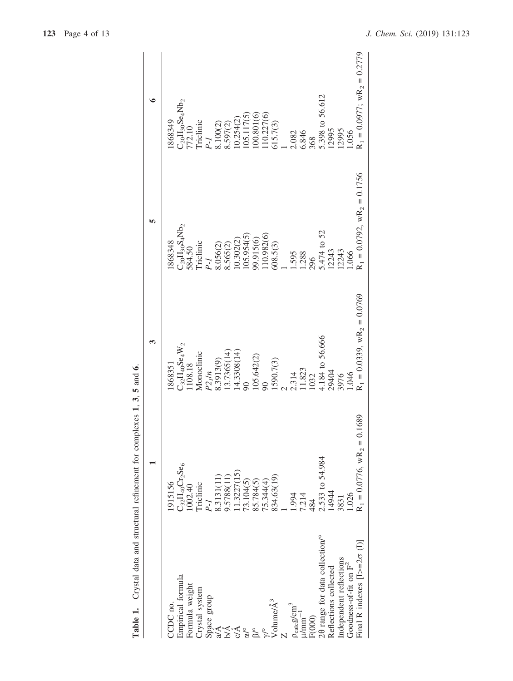| CDC no.                                             | 1915156                                 | .868351                                   | 868348                              | 1868349                                                                                |
|-----------------------------------------------------|-----------------------------------------|-------------------------------------------|-------------------------------------|----------------------------------------------------------------------------------------|
| Empirical formula                                   | $C_{32}H_{40}Cr_2Se_6$                  |                                           | $C_{20}H_{30}S_4Nb_2$               |                                                                                        |
| Formula weight                                      | .002.40                                 | $\frac{\rm C_{32}H_{40}Se_4W_2}{1108.18}$ | 584.50                              |                                                                                        |
| Crystal system                                      | <b>Triclinic</b>                        | Monoclinic                                | Triclinic                           | C <sub>20</sub> H <sub>30</sub> Se <sub>4</sub> Nb <sub>2</sub><br>772.10<br>Triclinic |
| Space group                                         | $P-I$                                   |                                           | $P-I$                               | $P-I$                                                                                  |
| eŽ<br>a/A                                           | 8.3131(11)<br>9.5788(11)<br>11.3227(15) | $P2_1/n$<br>8.3913(9)                     | 1.056(2)                            |                                                                                        |
| ЫA                                                  |                                         | 13.7365(14)                               |                                     | 3.100(2)<br>3.597(2)                                                                   |
| Å                                                   |                                         |                                           |                                     | 0.254(2)                                                                               |
| $\int_{\infty}^{\infty}$                            | 73.104(5)<br>85.784(5)                  | $14.3308(14)$<br>90                       | 8.565(2)<br>10.302(2)<br>105.954(5) | $\frac{105.117(5)}{100.801(6)}$                                                        |
| $8^{\circ}$                                         |                                         | 105.642(2)                                |                                     |                                                                                        |
|                                                     | 15.344(4)                               | 90                                        |                                     | 10.227(6)                                                                              |
| Volume/ $\mathring{\mathrm{A}}^3$                   | 834.63(19)                              | [590.7(3)                                 | 99.915(6)<br>110.982(6)<br>608.5(3) | 615.7(3)                                                                               |
|                                                     |                                         |                                           |                                     |                                                                                        |
| $\frac{\rho_{\rm calc} g/cm^3}{\mu / \rm{mm}^{-1}}$ | 1.994                                   |                                           |                                     | 2.082                                                                                  |
|                                                     | 7.214                                   | 2.314<br>11.823                           | 1.595<br>1.288<br>296               | 6.846                                                                                  |
| F(000)                                              | 484                                     | 1032                                      |                                     | 368                                                                                    |
| 20 range for data collection/°                      | 2.533 to 54.984<br>14944                | 4.184 to 56.666                           | 5.474 to 52<br>12243<br>12243       | 5.398 to 56.612                                                                        |
| Reflections collected                               |                                         | 29404                                     |                                     | 12995                                                                                  |
| Independent reflections                             | 3831                                    | 3976                                      |                                     | 12995                                                                                  |
| Goodness-of-fit on $F^2$                            | 1.026                                   | 1.046                                     | .066                                | 1.056                                                                                  |
| Final R indexes $[1> = 2\sigma(1)]$                 | $R_1 = 0.0776$ , w $R_2 = 0.1689$       | $R_1 = 0.0339$ , w $R_2 = 0.0769$         | $R_1 = 0.0792$ , $wR_2 = 0.1756$    | $R_1 = 0.0977$ ; $wR_2 = 0.2779$                                                       |
|                                                     |                                         |                                           |                                     |                                                                                        |

Table 1. Crystal data and structural refinement for complexes 1, 3, 5 and 6. Table 1. Crystal data and structural refinement for complexes 1, 3, 5 and 6.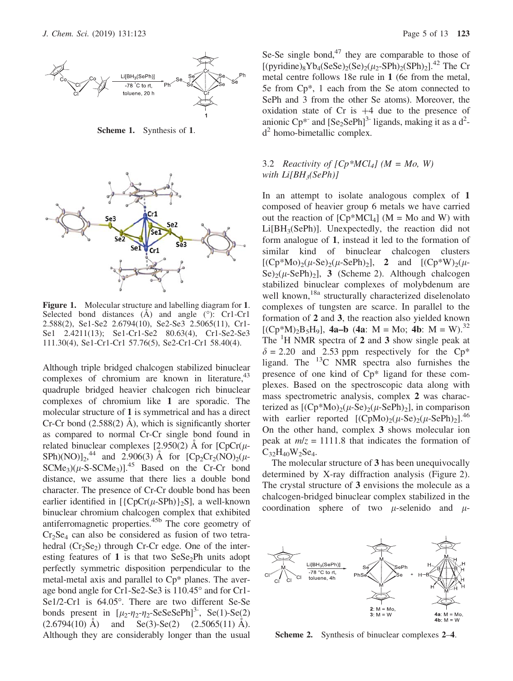

Scheme 1. Synthesis of 1.



Figure 1. Molecular structure and labelling diagram for 1. Selected bond distances  $(A)$  and angle  $(°)$ : Cr1-Cr1 2.588(2), Se1-Se2 2.6794(10), Se2-Se3 2.5065(11), Cr1- Se1 2.4211(13); Se1-Cr1-Se2 80.63(4), Cr1-Se2-Se3 111.30(4), Se1-Cr1-Cr1 57.76(5), Se2-Cr1-Cr1 58.40(4).

Although triple bridged chalcogen stabilized binuclear complexes of chromium are known in literature,  $43$ quadruple bridged heavier chalcogen rich binuclear complexes of chromium like 1 are sporadic. The molecular structure of 1 is symmetrical and has a direct Cr-Cr bond  $(2.588(2)$  Å), which is significantly shorter as compared to normal Cr-Cr single bond found in related binuclear complexes [2.950(2) Å for  $[CpCr(\mu-$ SPh)(NO)]<sub>2</sub>,<sup>44</sup> and 2.906(3) Å for  $[Cp_2Cr_2(NO)_2(\mu SCMe<sub>3</sub>$ ( $\mu$ -S-SCMe<sub>3</sub>)].<sup>45</sup> Based on the Cr-Cr bond distance, we assume that there lies a double bond character. The presence of Cr-Cr double bond has been earlier identified in  $[\{CpCr(\mu-SPh)\}_2S]$ , a well-known binuclear chromium chalcogen complex that exhibited antiferromagnetic properties.45b The core geometry of  $Cr<sub>2</sub>Se<sub>4</sub>$  can also be considered as fusion of two tetrahedral  $(Cr_2Se_2)$  through Cr-Cr edge. One of the interesting features of 1 is that two  $SeSe<sub>2</sub>Ph$  units adopt perfectly symmetric disposition perpendicular to the metal-metal axis and parallel to Cp\* planes. The average bond angle for Cr1-Se2-Se3 is 110.45° and for Cr1-Se1/2-Cr1 is 64.05°. There are two different Se-Se bonds present in  $[\mu_2-\eta_2-\eta_2$ -SeSeSePh<sup>3-</sup>, Se(1)-Se(2)  $(2.6794(10)$  Å) and Se(3)-Se(2)  $(2.5065(11)$  Å). Although they are considerably longer than the usual Se-Se single bond, $47$  they are comparable to those of  $[(pyridine)_8Yb_4(SeSe)_2(Se)_2(\mu_2-SPh)_2(SPh)_2]^{42}$  The Cr metal centre follows 18e rule in 1 (6e from the metal, 5e from Cp\*, 1 each from the Se atom connected to SePh and 3 from the other Se atoms). Moreover, the oxidation state of Cr is  $+4$  due to the presence of anionic Cp<sup>\*</sup> and  $[Se_2SePh]^3$ - ligands, making it as a d<sup>2</sup> $d<sup>2</sup>$  homo-bimetallic complex.

# 3.2 Reactivity of  $[Cp*MCl_4]$  ( $M = Mo$ , W) with  $Li[BH_3(SePh)]$

In an attempt to isolate analogous complex of 1 composed of heavier group 6 metals we have carried out the reaction of  $[Cp*MCl_4]$  (M = Mo and W) with  $Li[BH<sub>3</sub>(SePh)]$ . Unexpectedly, the reaction did not form analogue of 1, instead it led to the formation of similar kind of binuclear chalcogen clusters  $[(Cp*Mo)<sub>2</sub>(\mu-Se)<sub>2</sub>(\mu-SePh)<sub>2</sub>],$  2 and  $[(Cp*W)<sub>2</sub>(\mu-SePh)<sub>2</sub>(\mu-SePh)<sub>2</sub>]$ Se)<sub>2</sub>( $\mu$ -SePh)<sub>2</sub>], 3 (Scheme 2). Although chalcogen stabilized binuclear complexes of molybdenum are well known,<sup>18a</sup> structurally characterized diselenolato complexes of tungsten are scarce. In parallel to the formation of 2 and 3, the reaction also yielded known  $[(Cp*M)_2B_5H_9]$ , 4a–b (4a: M = Mo; 4b: M = W).<sup>32</sup> The  ${}^{1}$ H NMR spectra of 2 and 3 show single peak at  $\delta = 2.20$  and 2.53 ppm respectively for the Cp<sup>\*</sup> ligand. The  $^{13}$ C NMR spectra also furnishes the presence of one kind of Cp\* ligand for these complexes. Based on the spectroscopic data along with mass spectrometric analysis, complex 2 was characterized as  $[(Cp*Mo)<sub>2</sub>(\mu-Se)<sub>2</sub>(\mu-SePh)<sub>2</sub>]$ , in comparison with earlier reported  $[(CpMo)<sub>2</sub>(\mu-Se)<sub>2</sub>(\mu-SePh)<sub>2</sub>]$ <sup>46</sup> On the other hand, complex 3 shows molecular ion peak at  $m/z = 1111.8$  that indicates the formation of  $C_{32}H_{40}W_{2}Se_4.$ 

The molecular structure of 3 has been unequivocally determined by X-ray diffraction analysis (Figure 2). The crystal structure of 3 envisions the molecule as a chalcogen-bridged binuclear complex stabilized in the coordination sphere of two  $\mu$ -selenido and  $\mu$ -



Scheme 2. Synthesis of binuclear complexes 2–4.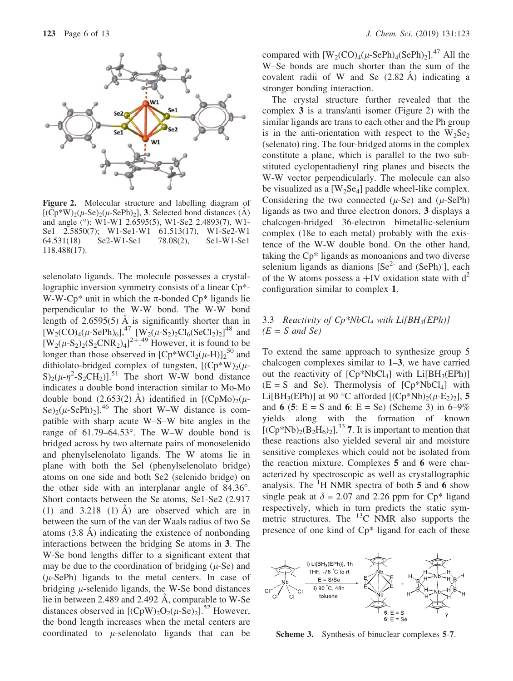

Figure 2. Molecular structure and labelling diagram of  $[(Cp*W)<sub>2</sub>(\mu-Se)<sub>2</sub>(\mu-SePh)<sub>2</sub>]$ , 3. Selected bond distances (A) and angle (°): W1-W1 2.6595(5), W1-Se2 2.4893(7), W1-Se1 2.5850(7); W1-Se1-W1 61.513(17), W1-Se2-W1 64.531(18) Se2-W1-Se1 78.08(2), Se1-W1-Se1 118.488(17).

selenolato ligands. The molecule possesses a crystallographic inversion symmetry consists of a linear Cp\*- W-W-Cp<sup>\*</sup> unit in which the  $\pi$ -bonded Cp<sup>\*</sup> ligands lie perpendicular to the W-W bond. The W-W bond length of  $2.6595(5)$  Å is significantly shorter than in  $[W_2(CO)_4(\mu-SePh)_6]$ ,<sup>47</sup>  $[W_2(\mu-S_2)_2Cl_6(SeCl_2)_2]$ <sup>48</sup> and  $[W_2(\mu-S_2)_2(S_2CNR_2)_4]^{2+}$ .<sup>49</sup> However, it is found to be longer than those observed in  $[Cp*WCl_2(\mu-H)]_2^{50}$  and dithiolato-bridged complex of tungsten,  $[(Cp*W)_2(\mu S_{2}(\mu-\eta^{2}-S_{2}CH_{2})$ ].<sup>51</sup> The short W-W bond distance indicates a double bond interaction similar to Mo-Mo double bond  $(2.653(2)$  Å) identified in  $[(CpMo)<sub>2</sub>(\mu-$ Se)<sub>2</sub>( $\mu$ -SePh)<sub>2</sub>].<sup>46</sup> The short W–W distance is compatible with sharp acute W–S–W bite angles in the range of  $61.79-64.53$ °. The W–W double bond is bridged across by two alternate pairs of monoselenido and phenylselenolato ligands. The W atoms lie in plane with both the Sel (phenylselenolato bridge) atoms on one side and both Se2 (selenido bridge) on the other side with an interplanar angle of 84.36°. Short contacts between the Se atoms, Se1-Se2 (2.917 (1) and  $3.218$  (1) A are observed which are in between the sum of the van der Waals radius of two Se atoms  $(3.8 \text{ Å})$  indicating the existence of nonbonding interactions between the bridging Se atoms in 3. The W-Se bond lengths differ to a significant extent that may be due to the coordination of bridging  $(\mu$ -Se) and  $(\mu$ -SePh) ligands to the metal centers. In case of bridging  $\mu$ -selenido ligands, the W-Se bond distances lie in between 2.489 and 2.492  $\AA$ , comparable to W-Se distances observed in  $[(CpW)_2O_2(\mu-Se)_2]$ <sup>52</sup> However, the bond length increases when the metal centers are coordinated to  $\mu$ -selenolato ligands that can be compared with  $[W_2(CO)_4(\mu-SePh)_4(SePh)_2]$ .<sup>47</sup> All the W–Se bonds are much shorter than the sum of the covalent radii of W and Se  $(2.82 \text{ Å})$  indicating a stronger bonding interaction.

The crystal structure further revealed that the complex 3 is a trans/anti isomer (Figure 2) with the similar ligands are trans to each other and the Ph group is in the anti-orientation with respect to the  $W_2Se_2$ (selenato) ring. The four-bridged atoms in the complex constitute a plane, which is parallel to the two substituted cyclopentadienyl ring planes and bisects the W-W vector perpendicularly. The molecule can also be visualized as a  $[W_2Se_4]$  paddle wheel-like complex. Considering the two connected  $(\mu$ -Se) and  $(\mu$ -SePh) ligands as two and three electron donors, 3 displays a chalcogen-bridged 36-electron bimetallic-selenium complex (18e to each metal) probably with the existence of the W-W double bond. On the other hand, taking the Cp\* ligands as monoanions and two diverse selenium ligands as dianions  $[Se^{2}$  and  $(SePh)^{\dagger}$ , each of the W atoms possess a  $+$ IV oxidation state with d<sup>2</sup> configuration similar to complex 1.

## 3.3 Reactivity of  $Cp^*NbCl_4$  with  $Li[BH_3(EPh)]$  $(E = S \text{ and } Se)$

To extend the same approach to synthesize group 5 chalcogen complexes similar to 1–3, we have carried out the reactivity of  $[Cp*NbCl<sub>4</sub>]$  with  $Li[BH<sub>3</sub>(EPh)]$  $(E = S$  and Se). Thermolysis of  $[Cp*NbCl<sub>4</sub>]$  with Li[BH<sub>3</sub>(EPh)] at 90 °C afforded  $[(Cp*Nb)<sub>2</sub>(\mu-E<sub>2</sub>)<sub>2</sub>]$ , 5 and 6 (5:  $E = S$  and 6:  $E = Se$ ) (Scheme 3) in 6–9% yields along with the formation of known  $[(Cp*Nb)_{2}(B_2H_6)_{2}]^{33}$  7. It is important to mention that these reactions also yielded several air and moisture sensitive complexes which could not be isolated from the reaction mixture. Complexes 5 and 6 were characterized by spectroscopic as well as crystallographic analysis. The  ${}^{1}$ H NMR spectra of both 5 and 6 show single peak at  $\delta = 2.07$  and 2.26 ppm for Cp<sup>\*</sup> ligand respectively, which in turn predicts the static symmetric structures. The  $^{13}$ C NMR also supports the presence of one kind of Cp\* ligand for each of these



Scheme 3. Synthesis of binuclear complexes 5-7.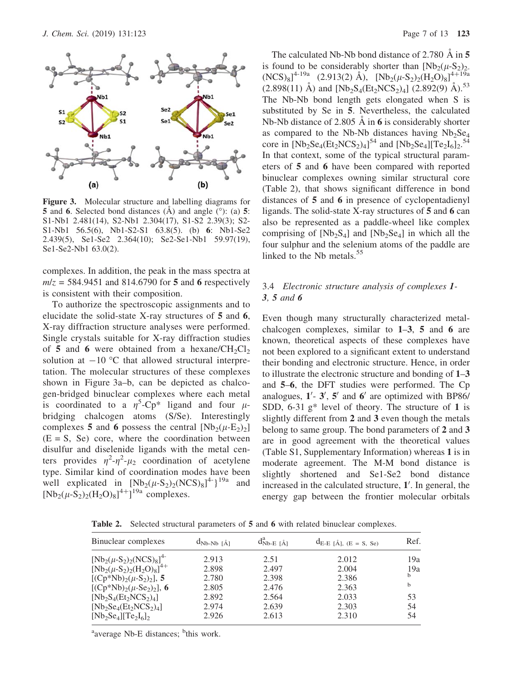

Figure 3. Molecular structure and labelling diagrams for 5 and 6. Selected bond distances  $(A)$  and angle  $(°)$ : (a) 5: S1-Nb1 2.481(14), S2-Nb1 2.304(17), S1-S2 2.39(3); S2- S1-Nb1 56.5(6), Nb1-S2-S1 63.8(5). (b) 6: Nb1-Se2 2.439(5), Se1-Se2 2.364(10); Se2-Se1-Nb1 59.97(19), Se1-Se2-Nb1 63.0(2).

complexes. In addition, the peak in the mass spectra at  $m/z = 584.9451$  and 814.6790 for 5 and 6 respectively is consistent with their composition.

To authorize the spectroscopic assignments and to elucidate the solid-state X-ray structures of 5 and 6, X-ray diffraction structure analyses were performed. Single crystals suitable for X-ray diffraction studies of 5 and 6 were obtained from a hexane/ $CH_2Cl_2$ solution at  $-10$  °C that allowed structural interpretation. The molecular structures of these complexes shown in Figure 3a–b, can be depicted as chalcogen-bridged binuclear complexes where each metal is coordinated to a  $\eta^5$ -Cp<sup>\*</sup> ligand and four  $\mu$ bridging chalcogen atoms (S/Se). Interestingly complexes 5 and 6 possess the central  $[Nb_2(\mu-E_2)_2]$  $(E = S, Se)$  core, where the coordination between disulfur and diselenide ligands with the metal centers provides  $\eta^2 - \eta^2 - \mu_2$  coordination of acetylene type. Similar kind of coordination modes have been well explicated in  $[Nb_2(\mu-S_2)_2(NCS)_8]^{4}$ <sup>19a</sup> and  $[Nb_2(\mu - S_2)_2(H_2O)_8]^{4+}]^{19a}$  complexes.

The calculated Nb-Nb bond distance of 2.780  $\AA$  in 5 is found to be considerably shorter than  $[Nb_2(\mu-S_2)_2]$ .  $(NCS)_{8}$ ]<sup>4-19a</sup> (2.913(2) Å),  $[Nb_{2}(\mu-S_{2})_{2}(H_{2}O)_{8}]^{4+19a}$  $(2.898(11)$  Å) and  $[Nb_2S_4(Et_2NCS_2)_4]$   $(2.892(9)$  Å).<sup>53</sup> The Nb-Nb bond length gets elongated when S is substituted by Se in 5. Nevertheless, the calculated Nb-Nb distance of 2.805  $\AA$  in 6 is considerably shorter as compared to the Nb-Nb distances having  $Nb<sub>2</sub>Se<sub>4</sub>$ core in  $[Nb_2Se_4(Et_2NCS_2)_4]^{54}$  and  $[Nb_2Se_4][Te_2I_6]_2$ .<sup>54</sup> In that context, some of the typical structural parameters of 5 and 6 have been compared with reported binuclear complexes owning similar structural core (Table 2), that shows significant difference in bond distances of 5 and 6 in presence of cyclopentadienyl ligands. The solid-state X-ray structures of 5 and 6 can also be represented as a paddle-wheel like complex comprising of  $[Nb_2S_4]$  and  $[Nb_2Se_4]$  in which all the four sulphur and the selenium atoms of the paddle are linked to the Nb metals.<sup>55</sup>

# 3.4 Electronic structure analysis of complexes 1- 3, 5 and 6

Even though many structurally characterized metalchalcogen complexes, similar to 1–3, 5 and 6 are known, theoretical aspects of these complexes have not been explored to a significant extent to understand their bonding and electronic structure. Hence, in order to illustrate the electronic structure and bonding of 1–3 and 5–6, the DFT studies were performed. The Cp analogues,  $1'$ -  $3'$ ,  $5'$  and  $6'$  are optimized with BP86/ SDD,  $6-31$  g\* level of theory. The structure of 1 is slightly different from 2 and 3 even though the metals belong to same group. The bond parameters of 2 and 3 are in good agreement with the theoretical values (Table S1, Supplementary Information) whereas 1 is in moderate agreement. The M-M bond distance is slightly shortened and Se1-Se2 bond distance increased in the calculated structure,  $1'$ . In general, the energy gap between the frontier molecular orbitals

Table 2. Selected structural parameters of 5 and 6 with related binuclear complexes.

| Binuclear complexes                  | $d_{Nb-Nb}$ [Å] | $d_{Nb-E [\AA]}^a$ | $d_{E-E}$ [Å], (E = S, Se) | Ref. |
|--------------------------------------|-----------------|--------------------|----------------------------|------|
| $[Nb_2(\mu-S_2)_2(NCS)_8]^{4-}$      | 2.913           | 2.51               | 2.012                      | 19a  |
| $[Nb_2(\mu-S_2)_2(H_2O)_8]^{4+}$     | 2.898           | 2.497              | 2.004                      | 19a  |
| $[(Cp*Nb)2(\mu-S2)2]$ , 5            | 2.780           | 2.398              | 2.386                      | b    |
| [ $(Cp*Nb)_{2}(\mu-Se_{2})_{2}$ ], 6 | 2.805           | 2.476              | 2.363                      | b    |
| $[Nb_2S_4(Et_2NCS_2)_4]$             | 2.892           | 2.564              | 2.033                      | 53   |
| $[Nb_2Se_4(Et_2NCS_2)_4]$            | 2.974           | 2.639              | 2.303                      | 54   |
| $[Nb_2Se_4][Te_2I_6]_2$              | 2.926           | 2.613              | 2.310                      | 54   |

<sup>a</sup>average Nb-E distances; <sup>b</sup>this work.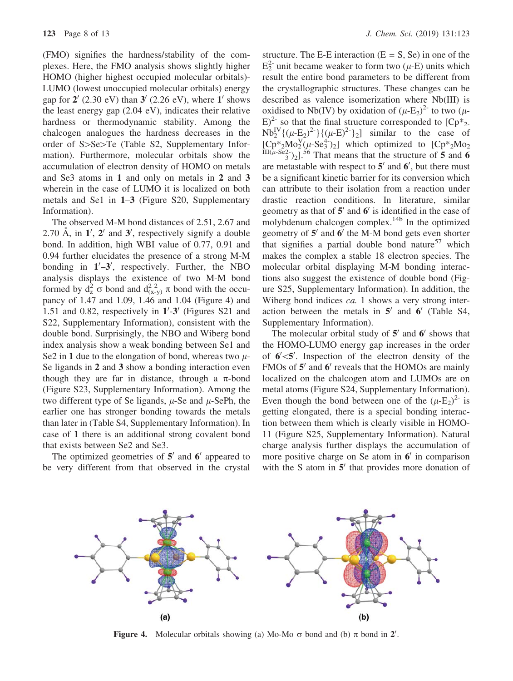(FMO) signifies the hardness/stability of the complexes. Here, the FMO analysis shows slightly higher HOMO (higher highest occupied molecular orbitals)- LUMO (lowest unoccupied molecular orbitals) energy gap for  $2'$  (2.30 eV) than  $3'$  (2.26 eV), where  $1'$  shows the least energy gap (2.04 eV), indicates their relative hardness or thermodynamic stability. Among the chalcogen analogues the hardness decreases in the order of  $S>S$ e $>Te$  (Table S2, Supplementary Information). Furthermore, molecular orbitals show the accumulation of electron density of HOMO on metals and Se3 atoms in 1 and only on metals in 2 and 3 wherein in the case of LUMO it is localized on both metals and Se1 in 1–3 (Figure S20, Supplementary Information).

The observed M-M bond distances of 2.51, 2.67 and 2.70 Å, in 1', 2' and 3', respectively signify a double bond. In addition, high WBI value of 0.77, 0.91 and 0.94 further elucidates the presence of a strong M-M bonding in  $1'-3'$ , respectively. Further, the NBO analysis displays the existence of two M-M bond formed by  $d_z^2 \sigma$  bond and  $d_{(x-y)}^2 \pi$  bond with the occu-<br>pancy of 1.47 and 1.09, 1.46 and 1.04 (Figure 4) and pancy of 1.47 and 1.09, 1.46 and 1.04 (Figure 4) and 1.51 and 0.82, respectively in  $1'$ -3' (Figures S21 and S22, Supplementary Information), consistent with the double bond. Surprisingly, the NBO and Wiberg bond index analysis show a weak bonding between Se1 and Se2 in 1 due to the elongation of bond, whereas two  $\mu$ -Se ligands in 2 and 3 show a bonding interaction even though they are far in distance, through a  $\pi$ -bond (Figure S23, Supplementary Information). Among the two different type of Se ligands,  $\mu$ -Se and  $\mu$ -SePh, the earlier one has stronger bonding towards the metals than later in (Table S4, Supplementary Information). In case of 1 there is an additional strong covalent bond that exists between Se2 and Se3.

The optimized geometries of  $5<sup>'</sup>$  and  $6<sup>'</sup>$  appeared to be very different from that observed in the crystal

structure. The E-E interaction  $(E = S, Se)$  in one of the  $E_2^2$  unit became weaker to form two ( $\mu$ -E) units which result the entire bond parameters to be different from the crystallographic structures. These changes can be described as valence isomerization where Nb(III) is oxidised to Nb(IV) by oxidation of  $(\mu$ -E<sub>2</sub>)<sup>2-</sup> to two ( $\mu$ - $E)^{2}$  so that the final structure corresponded to  $[Cp*_{2}]$  $Nb_2^{\text{IV}}\{(\mu-E_2)^{2-}\}\{(\mu-E)^{2-}\}_2\}$  similar to the case of  $[Cp^*_{2}Mo_{2}^V(\mu-Se_3^4)]$  which optimized to  $[Cp^*_{2}Mo_{2}$ <br> $III(\mu-Se_{2})_{1}$  56 That means that the structure of 5 and 6  $^{2}_{3}$ )<sub>2</sub>].<sup>56</sup> That means that the structure of 5 and 6 are metastable with respect to  $5'$  and  $6'$ , but there must be a significant kinetic barrier for its conversion which can attribute to their isolation from a reaction under drastic reaction conditions. In literature, similar geometry as that of  $5'$  and  $6'$  is identified in the case of molybdenum chalcogen complex.<sup>14b</sup> In the optimized geometry of  $5'$  and  $6'$  the M-M bond gets even shorter that signifies a partial double bond nature<sup>57</sup> which makes the complex a stable 18 electron species. The molecular orbital displaying M-M bonding interactions also suggest the existence of double bond (Figure S25, Supplementary Information). In addition, the Wiberg bond indices *ca*. 1 shows a very strong interaction between the metals in  $5'$  and  $6'$  (Table S4, Supplementary Information).

The molecular orbital study of  $5'$  and  $6'$  shows that the HOMO-LUMO energy gap increases in the order of  $6' < 5'$ . Inspection of the electron density of the FMOs of  $5'$  and  $6'$  reveals that the HOMOs are mainly localized on the chalcogen atom and LUMOs are on metal atoms (Figure S24, Supplementary Information). Even though the bond between one of the  $(\mu-E_2)^2$  is getting elongated, there is a special bonding interaction between them which is clearly visible in HOMO-11 (Figure S25, Supplementary Information). Natural charge analysis further displays the accumulation of more positive charge on Se atom in  $6'$  in comparison with the S atom in  $5<sup>'</sup>$  that provides more donation of



**Figure 4.** Molecular orbitals showing (a) Mo-Mo  $\sigma$  bond and (b)  $\pi$  bond in  $2'$ .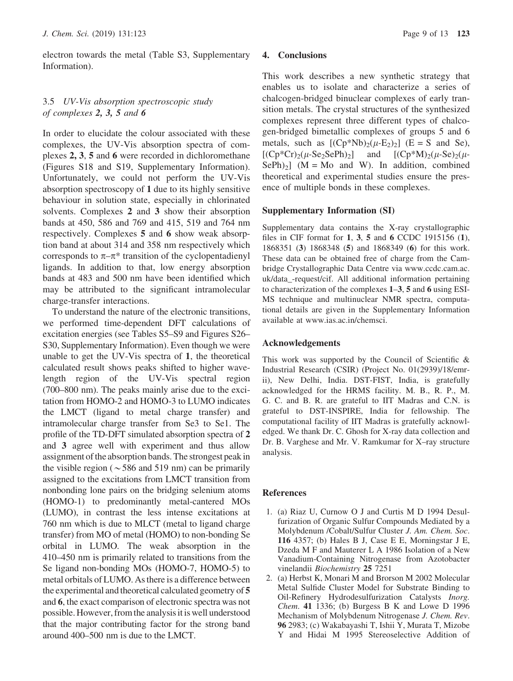electron towards the metal (Table S3, Supplementary Information).

## 3.5 UV-Vis absorption spectroscopic study of complexes 2, 3, 5 and 6

In order to elucidate the colour associated with these complexes, the UV-Vis absorption spectra of complexes 2, 3, 5 and 6 were recorded in dichloromethane (Figures S18 and S19, Supplementary Information). Unfortunately, we could not perform the UV-Vis absorption spectroscopy of 1 due to its highly sensitive behaviour in solution state, especially in chlorinated solvents. Complexes 2 and 3 show their absorption bands at 450, 586 and 769 and 415, 519 and 764 nm respectively. Complexes 5 and 6 show weak absorption band at about 314 and 358 nm respectively which corresponds to  $\pi-\pi^*$  transition of the cyclopentadienyl ligands. In addition to that, low energy absorption bands at 483 and 500 nm have been identified which may be attributed to the significant intramolecular charge-transfer interactions.

To understand the nature of the electronic transitions, we performed time-dependent DFT calculations of excitation energies (see Tables S5–S9 and Figures S26– S30, Supplementary Information). Even though we were unable to get the UV-Vis spectra of 1, the theoretical calculated result shows peaks shifted to higher wavelength region of the UV-Vis spectral region (700–800 nm). The peaks mainly arise due to the excitation from HOMO-2 and HOMO-3 to LUMO indicates the LMCT (ligand to metal charge transfer) and intramolecular charge transfer from Se3 to Se1. The profile of the TD-DFT simulated absorption spectra of 2 and 3 agree well with experiment and thus allow assignment of the absorption bands. The strongest peak in the visible region ( $\sim$  586 and 519 nm) can be primarily assigned to the excitations from LMCT transition from nonbonding lone pairs on the bridging selenium atoms (HOMO-1) to predominantly metal-cantered MOs (LUMO), in contrast the less intense excitations at 760 nm which is due to MLCT (metal to ligand charge transfer) from MO of metal (HOMO) to non-bonding Se orbital in LUMO. The weak absorption in the 410–450 nm is primarily related to transitions from the Se ligand non-bonding MOs (HOMO-7, HOMO-5) to metal orbitals of LUMO. As there is a difference between the experimental and theoretical calculated geometry of 5 and 6, the exact comparison of electronic spectra was not possible. However, fromthe analysis it is well understood that the major contributing factor for the strong band around 400–500 nm is due to the LMCT.

### 4. Conclusions

This work describes a new synthetic strategy that enables us to isolate and characterize a series of chalcogen-bridged binuclear complexes of early transition metals. The crystal structures of the synthesized complexes represent three different types of chalcogen-bridged bimetallic complexes of groups 5 and 6 metals, such as  $[(Cp*Nb)<sub>2</sub>(\mu-E<sub>2</sub>)<sub>2</sub>]$  (E = S and Se),  $[(Cp*Cr)_{2}(\mu-Se_{2}SePh)_{2}]$  and  $[(Cp*M)_{2}(\mu-Se)_{2}(\mu-Se)_{2}]$  $SePh$ )<sub>2</sub>] (M = Mo and W). In addition, combined theoretical and experimental studies ensure the presence of multiple bonds in these complexes.

### Supplementary Information (SI)

Supplementary data contains the X-ray crystallographic files in CIF format for 1, 3, 5 and 6 CCDC 1915156 (1), 1868351 (3) 1868348 (5) and 1868349 (6) for this work. These data can be obtained free of charge from the Cambridge Crystallographic Data Centre via www.ccdc.cam.ac. uk/data\_-request/cif. All additional information pertaining to characterization of the complexes 1–3, 5 and 6 using ESI-MS technique and multinuclear NMR spectra, computational details are given in the Supplementary Information available at www.ias.ac.in/chemsci.

### Acknowledgements

This work was supported by the Council of Scientific  $\&$ Industrial Research (CSIR) (Project No. 01(2939)/18/emrii), New Delhi, India. DST-FIST, India, is gratefully acknowledged for the HRMS facility. M. B., R. P., M. G. C. and B. R. are grateful to IIT Madras and C.N. is grateful to DST-INSPIRE, India for fellowship. The computational facility of IIT Madras is gratefully acknowledged. We thank Dr. C. Ghosh for X-ray data collection and Dr. B. Varghese and Mr. V. Ramkumar for X–ray structure analysis.

### **References**

- 1. (a) Riaz U, Curnow O J and Curtis M D 1994 Desulfurization of Organic Sulfur Compounds Mediated by a Molybdenum /Cobalt/Sulfur Cluster J. Am. Chem. Soc. 116 4357; (b) Hales B J, Case E E, Morningstar J E, Dzeda M F and Mauterer L A 1986 Isolation of a New Vanadium-Containing Nitrogenase from Azotobacter vinelandii Biochemistry 25 7251
- 2. (a) Herbst K, Monari M and Brorson M 2002 Molecular Metal Sulfide Cluster Model for Substrate Binding to Oil-Refinery Hydrodesulfurization Catalysts Inorg. Chem. 41 1336; (b) Burgess B K and Lowe D 1996 Mechanism of Molybdenum Nitrogenase J. Chem. Rev. 96 2983; (c) Wakabayashi T, Ishii Y, Murata T, Mizobe Y and Hidai M 1995 Stereoselective Addition of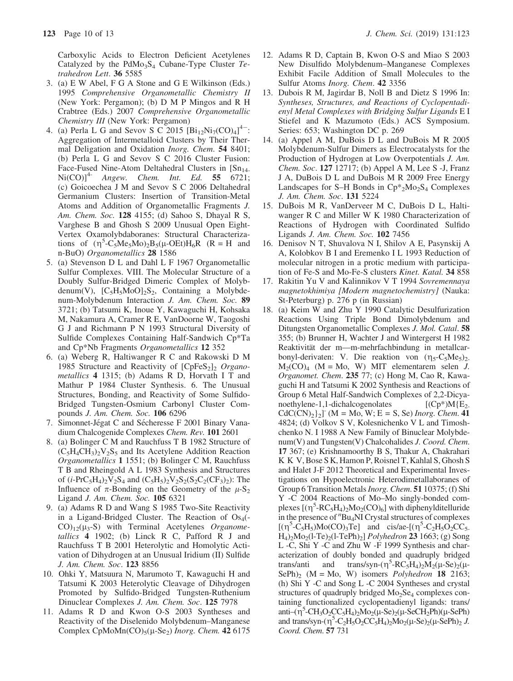Carboxylic Acids to Electron Deficient Acetylenes Catalyzed by the  $PdMo<sub>3</sub>S<sub>4</sub>$  Cubane-Type Cluster Tetrahedron Lett. 36 5585

- 3. (a) E W Abel, F G A Stone and G E Wilkinson (Eds.) 1995 Comprehensive Organometallic Chemistry II (New York: Pergamon); (b) D M P Mingos and R H Crabtree (Eds.) 2007 Comprehensive Organometallic Chemistry III (New York: Pergamon)
- 4. (a) Perla L G and Sevov S C 2015  $[\text{Bi}_{12}\text{Ni}_7(\text{CO})_4]^4$  : Aggregation of Intermetalloid Clusters by Their Thermal Deligation and Oxidation *Inorg. Chem.* 54 8401; (b) Perla L G and Sevov S C 2016 Cluster Fusion: Face-Fused Nine-Atom Deltahedral Clusters in  $[Sn_{14}]$  $\text{Ni(CO)}^{4-}$  Angew. Chem. Int. Ed. 55 6721; (c) Goicoechea J M and Sevov S C 2006 Deltahedral Germanium Clusters: Insertion of Transition-Metal Atoms and Addition of Organometallic Fragments J. Am. Chem. Soc. 128 4155; (d) Sahoo S, Dhayal R S, Varghese B and Ghosh S 2009 Unusual Open Eight-Vertex Oxamolybdaboranes: Structural Characterizations of  $(\eta^5$ -C<sub>5</sub>Me<sub>5</sub>Mo)<sub>2</sub>B<sub>5</sub>(µ-OEt)H<sub>6</sub>R (R = H and n-BuO) *Organometallics* **28** 1586 n-BuO) Organometallics 28 1586
- 5. (a) Stevenson D L and Dahl L F 1967 Organometallic Sulfur Complexes. VIII. The Molecular Structure of a Doubly Sulfur-Bridged Dimeric Complex of Molybdenum(V),  $[C_5H_5MoO]_2S_2$ , Containing a Molybdenum-Molybdenum Interaction J. Am. Chem. Soc. 89 3721; (b) Tatsumi K, Inoue Y, Kawaguchi H, Kohsaka M, Nakamura A, Cramer R E, VanDoorne W, Taogoshi G J and Richmann P N 1993 Structural Diversity of Sulfide Complexes Containing Half-Sandwich Cp\*Ta and Cp\*Nb Fragments Organometallics 12 352
- 6. (a) Weberg R, Haltiwanger R C and Rakowski D M 1985 Structure and Reactivity of  $[CpFeS<sub>2</sub>]$ <sub>2</sub> Organometallics 4 1315; (b) Adams R D, Horvath I T and Mathur P 1984 Cluster Synthesis. 6. The Unusual Structures, Bonding, and Reactivity of Some Sulfido-Bridged Tungsten-Osmium Carbonyl Cluster Compounds *J. Am. Chem. Soc.* **106** 6296
- 7. Simonnet-Jégat C and Sécheresse F 2001 Binary Vanadium Chalcogenide Complexes Chem. Rev. 101 2601
- 8. (a) Bolinger C M and Rauchfuss T B 1982 Structure of  $(C_5H_4CH_3)_2V_2S_5$  and Its Acetylene Addition Reaction Organometallics 1 1551; (b) Bolinger C M, Rauchfuss T B and Rheingold A L 1983 Synthesis and Structures of  $(i-PrC_5H_4)_2V_2S_4$  and  $(C_5H_5)_2V_2S_2(S_2C_2(CF_3)_2)$ : The Influence of  $\pi$ -Bonding on the Geometry of the  $\mu$ -S<sub>2</sub> Ligand J. Am. Chem. Soc. 105 6321
- 9. (a) Adams R D and Wang S 1985 Two-Site Reactivity in a Ligand-Bridged Cluster. The Reaction of  $Os<sub>4</sub>( CO$ <sub>12</sub>( $\mu$ <sub>3</sub>-S) with Terminal Acetylenes Organometallics 4 1902; (b) Linck R C, Pafford R J and Rauchfuss T B 2001 Heterolytic and Homolytic Activation of Dihydrogen at an Unusual Iridium (II) Sulfide J. Am. Chem. Soc. 123 8856
- 10. Ohki Y, Matsuura N, Marumoto T, Kawaguchi H and Tatsumi K 2003 Heterolytic Cleavage of Dihydrogen Promoted by Sulfido-Bridged Tungsten-Ruthenium Dinuclear Complexes J. Am. Chem. Soc. 125 7978
- 11. Adams R D and Kwon O-S 2003 Syntheses and Reactivity of the Diselenido Molybdenum–Manganese Complex CpMoMn(CO)<sub>5</sub>( $\mu$ -Se<sub>2</sub>) *Inorg. Chem.* 42 6175
- 12. Adams R D, Captain B, Kwon O-S and Miao S 2003 New Disulfido Molybdenum–Manganese Complexes Exhibit Facile Addition of Small Molecules to the Sulfur Atoms Inorg. Chem. 42 3356
- 13. Dubois R M, Jagirdar B, Noll B and Dietz S 1996 In: Syntheses, Structures, and Reactions of Cyclopentadienyl Metal Complexes with Bridging Sulfur Ligands E I Stiefel and K Mazumoto (Eds.) ACS Symposium. Series: 653; Washington DC p. 269
- 14. (a) Appel A M, DuBois D L and DuBois M R 2005 Molybdenum-Sulfur Dimers as Electrocatalysts for the Production of Hydrogen at Low Overpotentials J. Am. Chem. Soc. 127 12717; (b) Appel A M, Lee S -J, Franz J A, DuBois D L and DuBois M R 2009 Free Energy Landscapes for S–H Bonds in  $Cp*_{2}Mo_{2}S_{4}$  Complexes J. Am. Chem. Soc. 131 5224
- 15. DuBois M R, VanDerveer M C, DuBois D L, Haltiwanger R C and Miller W K 1980 Characterization of Reactions of Hydrogen with Coordinated Sulfido Ligands J. Am. Chem. Soc. 102 7456
- 16. Denisov N T, Shuvalova N I, Shilov A E, Pasynskij A A, Kolobkov B I and Eremenko I L 1993 Reduction of molecular nitrogen in a protic medium with participation of Fe-S and Mo-Fe-S clusters Kinet. Katal. 34 858
- 17. Rakitin Yu V and Kalinnikov V T 1994 Sovremennaya magnetokhimiya [Modern magnetochemistry] (Nauka: St-Peterburg) p. 276 p (in Russian)
- 18. (a) Keim W and Zhu Y 1990 Catalytic Desulfurization Reactions Using Triple Bond Dimolybdenum and Ditungsten Organometallic Complexes J. Mol. Catal. 58 355; (b) Brunner H, Wachter J and Wintergerst H 1982 Reaktivität der m—m-mehrfachbindung in metallcarbonyl-derivaten: V. Die reaktion von  $(\eta_5-C_5Me_5)_2$ .  $M_2(CO)_4$  (M = Mo, W) MIT elementarem selen J. Organomet. Chem. 235 77; (c) Hong M, Cao R, Kawaguchi H and Tatsumi K 2002 Synthesis and Reactions of Group 6 Metal Half-Sandwich Complexes of 2,2-Dicyanoethylene-1,1-dichalcogenolates  $[(Cp*)M(E<sub>2</sub>)]$  $CdC(CN)_{2}$ ]<sup>-</sup> (M = Mo, W; E = S, Se) *Inorg. Chem.* 41 4824; (d) Volkov S V, Kolesnichenko V L and Timoshchenko N. I 1988 A New Family of Binuclear Molybdenum(V) and Tungsten(V) Chalcohalides J. Coord. Chem. 17 367; (e) Krishnamoorthy B S, Thakur A, Chakrahari K K V, Bose S K, Hamon P, Roisnel T, Kahlal S, Ghosh S and Halet J-F 2012 Theoretical and Experimental Investigations on Hypoelectronic Heterodimetallaboranes of Group 6 Transition Metals *Inorg. Chem.* 51 10375; (f) Shi Y -C 2004 Reactions of Mo–Mo singly-bonded complexes  $[(\eta^5 \text{-} RC_5H_4)_2Mo_2(CO)_6]$  with diphenylditelluride<br>in the presence of "Bu<sub>A</sub>NI Crystal structures of complexes in the presence of  $n_{\text{B}u_4\text{NI}}$  Crystal structures of complexes  $[(\eta^5 \text{-} C_5 H_5) \text{Mo}(CO)_3 \text{Te}]$  and cis/ae- $[(\eta^5 \text{-} C_2 H_5 O_2 \text{CC}_5 - H_1) \text{-} \text{Mo}_2 (1 \text{-} Te)_1 \text{C}$  and cis/ae- $[(\eta^5 \text{-} C_2 H_5 O_2 \text{CC}_5 - H_1) \text{-} \text{Mo}_2 (1 \text{-} Te)_1 \text{C}$  $H_4$ )<sub>2</sub>Mo<sub>2</sub>(l-Te)<sub>2</sub>(l-TePh)<sub>2</sub>] *Polyhedron* 23 1663; (g) Song L -C, Shi Y -C and Zhu W -F 1999 Synthesis and characterization of doubly bonded and quadruply bridged trans/anti and trans/syn-( $\eta^5$ -RC<sub>5</sub>H<sub>4</sub>)<sub>2</sub>M<sub>2</sub>( $\mu$ -Se)<sub>2</sub>( $\mu$ -Se)<sub>2</sub>( $\mu$ -Se)<sub>2</sub>( $\mu$ -Se)<sub>2</sub>( $\mu$ -Se)<sub>2</sub>( $\mu$ -Se)<sub>2</sub>( $\mu$ -Se)<sub>2</sub>( $\mu$ -Se)<sub>2</sub>( $\mu$ -Se)<sub>2</sub>( $\mu$ -Se)<sub>2</sub>( $\mu$ -Se)<sub>2</sub>( $\mu$ -Se)<sub>2</sub>( $\mu$ -Se)<sub>2</sub>( $\mu$ -Se)<sub>2</sub>( $\$ trans/syn- $(\eta^3$ -RC<sub>5</sub>H<sub>4</sub>)<sub>2</sub>M<sub>2</sub>( $\mu$ -Se)<sub>2</sub>( $\mu$ -(h) Shi Y -C and Song L -C 2004 Syntheses and crystal structures of quadruply bridged  $Mo<sub>2</sub>Se<sub>4</sub>$  complexes containing functionalized cyclopentadienyl ligands: trans/ anti–( $\eta^5$ -CH<sub>3</sub>O<sub>2</sub>CC<sub>5</sub>H<sub>4</sub>)<sub>2</sub>Mo<sub>2</sub>(µ-Se<sub>2</sub>(µ-SeCH<sub>2</sub>Ph)(µ-SePh)<br>and trans/syn-( $\eta^5$ -C<sub>2</sub>H<sub>-</sub>O<sub>2</sub>CC<sub>5</sub>H<sub>e</sub>)<sub>2</sub>Mo<sub>2</sub>(µ-Se)<sub>2</sub>(µ-SePh)<sub>2</sub> and trans/syn- $(\eta^5 - C_2H_5O_2CC_5H_4)_2M_0( \mu-Se_2( \mu-SePh)_2)$ .<br>Coord Chem 57 731 Coord. Chem. 57 731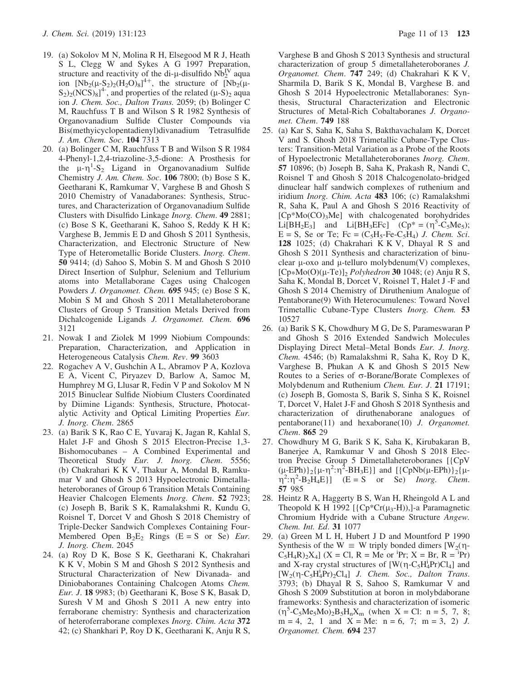- 19. (a) Sokolov M N, Molina R H, Elsegood M R J, Heath S L, Clegg W and Sykes A G 1997 Preparation, structure and reactivity of the di-µ-disulfido  $\rm Nb_2^{\rm IV}$  aqua<br>ion  $\rm Nb_2(U-S_2)(H_2O)_e1^{4+}$ , the structure of  $\rm Nb_2(U_2)$ ion  $[Nb_2(\mu-S_2)_2(H_2O)_8]^{4+}$ , the structure of  $[Nb_2(\mu-S_2)_2(H_2O)_8]^{4+}$  and properties of the related (u-S), agua  $S_2$ )<sub>2</sub>(NCS)<sub>8</sub>]<sup>4</sup>, and properties of the related (µ-S)<sub>2</sub> aqua<br>ion *L* Chem Soc. Dalton Trans 2059: (b) Bolinger C ion J. Chem. Soc., Dalton Trans. 2059; (b) Bolinger C M, Rauchfuss T B and Wilson S R 1982 Synthesis of Organovanadium Sulfide Cluster Compounds via Bis(methyicyclopentadienyl)divanadium Tetrasulfide J. Am. Chem. Soc. 104 7313
- 20. (a) Bolinger C M, Rauchfuss T B and Wilson S R 1984 4-Phenyl-1,2,4-triazoline-3,5-dione: A Prosthesis for the  $\mu$ - $\eta$ <sup>1</sup>-S<sub>2</sub> Ligand in Organovanadium Sulfide<br>Chemistry *I Am Chem Soc* 106 7800: (b) Bose S K Chemistry J. Am. Chem. Soc. 106 7800; (b) Bose S K, Geetharani K, Ramkumar V, Varghese B and Ghosh S 2010 Chemistry of Vanadaboranes: Synthesis, Structures, and Characterization of Organovanadium Sulfide Clusters with Disulfido Linkage Inorg. Chem. 49 2881; (c) Bose S K, Geetharani K, Sahoo S, Reddy K H K; Varghese B, Jemmis E D and Ghosh S 2011 Synthesis, Characterization, and Electronic Structure of New Type of Heterometallic Boride Clusters. Inorg. Chem. 50 9414; (d) Sahoo S, Mobin S. M and Ghosh S 2010 Direct Insertion of Sulphur, Selenium and Tellurium atoms into Metallaborane Cages using Chalcogen Powders J. Organomet. Chem. 695 945; (e) Bose S K, Mobin S M and Ghosh S 2011 Metallaheteroborane Clusters of Group 5 Transition Metals Derived from Dichalcogenide Ligands J. Organomet. Chem. 696 3121
- 21. Nowak I and Ziolek M 1999 Niobium Compounds: Preparation, Characterization, and Application in Heterogeneous Catalysis Chem. Rev. 99 3603
- 22. Rogachev A V, Gushchin A L, Abramov P A, Kozlova E A, Vicent C, Piryazev D, Barlow A, Samoc M, Humphrey M G, Llusar R, Fedin V P and Sokolov M N 2015 Binuclear Sulfide Niobium Clusters Coordinated by Diimine Ligands: Synthesis, Structure, Photocatalytic Activity and Optical Limiting Properties Eur. J. Inorg. Chem. 2865
- 23. (a) Barik S K, Rao C E, Yuvaraj K, Jagan R, Kahlal S, Halet J-F and Ghosh S 2015 Electron-Precise 1,3- Bishomocubanes – A Combined Experimental and Theoretical Study Eur. J. Inorg. Chem. 5556; (b) Chakrahari K K V, Thakur A, Mondal B, Ramkumar V and Ghosh S 2013 Hypoelectronic Dimetallaheteroboranes of Group 6 Transition Metals Containing Heavier Chalcogen Elements *Inorg. Chem.* 52 7923; (c) Joseph B, Barik S K, Ramalakshmi R, Kundu G, Roisnel T, Dorcet V and Ghosh S 2018 Chemistry of Triple-Decker Sandwich Complexes Containing Four-Membered Open  $B_2E_2$  Rings (E = S or Se) *Eur*. J. Inorg. Chem. 2045
- 24. (a) Roy D K, Bose S K, Geetharani K, Chakrahari K K V, Mobin S M and Ghosh S 2012 Synthesis and Structural Characterization of New Divanada- and Diniobaboranes Containing Chalcogen Atoms Chem. Eur. J. 18 9983; (b) Geetharani K, Bose S K, Basak D, Suresh V M and Ghosh S 2011 A new entry into ferraborane chemistry: Synthesis and characterization of heteroferraborane complexes Inorg. Chim. Acta 372 42; (c) Shankhari P, Roy D K, Geetharani K, Anju R S,

Varghese B and Ghosh S 2013 Synthesis and structural characterization of group 5 dimetallaheteroboranes J. Organomet. Chem. 747 249; (d) Chakrahari K K V, Sharmila D, Barik S K, Mondal B, Varghese B. and Ghosh S 2014 Hypoelectronic Metallaboranes: Synthesis, Structural Characterization and Electronic Structures of Metal-Rich Cobaltaboranes J. Organomet. Chem. 749 188

- 25. (a) Kar S, Saha K, Saha S, Bakthavachalam K, Dorcet V and S. Ghosh 2018 Trimetallic Cubane-Type Clusters: Transition-Metal Variation as a Probe of the Roots of Hypoelectronic Metallaheteroboranes Inorg. Chem. 57 10896; (b) Joseph B, Saha K, Prakash R, Nandi C, Roisnel T and Ghosh S 2018 Chalcogenolato-bridged dinuclear half sandwich complexes of ruthenium and iridium Inorg. Chim. Acta 483 106; (c) Ramalakshmi R, Saha K, Paul A and Ghosh S 2016 Reactivity of [Cp\*Mo(CO)<sub>3</sub>Me] with chalcogenated borohydrides Li $[BH_2E_3]$  and Li $[BH_3EFe]$   $(Cp^* = (\eta^5 - \tilde{C}_5Me_5);$ <br>  $E = S$  Se or Te:  $Fc = (C_5He_5Fe_5H_4)$  *L Chem Sci*  $E = S$ , Se or Te; Fc =  $(C_5H_5$ -Fe- $C_5H_4$ ) J. Chem. Sci. 128 1025; (d) Chakrahari K K V, Dhayal R S and Ghosh S 2011 Synthesis and characterization of binuclear  $\mu$ -oxo and  $\mu$ -telluro molybdenum(V) complexes,  $[Cp*Mo(O)(\mu-Te)]_2$  *Polyhedron* 30 1048; (e) Anju R S, Saha K, Mondal B, Dorcet V, Roisnel T, Halet J -F and Ghosh S 2014 Chemistry of Diruthenium Analogue of Pentaborane(9) With Heterocumulenes: Toward Novel Trimetallic Cubane-Type Clusters Inorg. Chem. 53 10527
- 26. (a) Barik S K, Chowdhury M G, De S, Parameswaran P and Ghosh S 2016 Extended Sandwich Molecules Displaying Direct Metal–Metal Bonds Eur. J. Inorg. Chem. 4546; (b) Ramalakshmi R, Saha K, Roy D K, Varghese B, Phukan A K and Ghosh S 2015 New Routes to a Series of  $\sigma$ -Borane/Borate Complexes of Molybdenum and Ruthenium Chem. Eur. J. 21 17191; (c) Joseph B, Gomosta S, Barik S, Sinha S K, Roisnel T, Dorcet V, Halet J-F and Ghosh S 2018 Synthesis and characterization of diruthenaborane analogues of pentaborane(11) and hexaborane(10) J. Organomet. Chem. 865 29
- 27. Chowdhury M G, Barik S K, Saha K, Kirubakaran B, Banerjee A, Ramkumar V and Ghosh S 2018 Electron Precise Group 5 Dimetallaheteroboranes [{CpV  $(\mu-\text{EPh})_2 {\mu-\eta^2:\eta^2-BH_3E}$  and  ${\{\text{CpNb}(\mu-\text{EPh})\}_2 {\mu-\eta^2:\eta^2-B_3H_4E}}$  (E = S or Se) *Inore Chem*  $\overline{q}^2$ : $\overline{q}^2$ - $\overline{B}_2$ H<sub>4</sub>E}] (E = S or Se) *Inorg. Chem.*<br>57 985 57 985
- 28. Heintz R A, Haggerty B S, Wan H, Rheingold A L and Theopold K H 1992  $[\{Cp*Cr(\mu_3-H)\}]$ -a Paramagnetic Chromium Hydride with a Cubane Structure Angew. Chem. Int. Ed. 31 1077
- 29. (a) Green M L H, Hubert J D and Mountford P 1990 Synthesis of the W  $\equiv$  W triply bonded dimers [W<sub>2</sub>( $\eta$ - $C_5H_4R_2X_4$  (X = Cl, R = Me or <sup>i</sup>Pr; X = Br, R = <sup>i</sup>Pr) and X-ray crystal structures of  $[W(\eta - C_5H_4^T)C]$  and  $[W_2(\eta - C_5H_3^T)C]$  and  $[T_2(\eta - C_5H_4^T)]$  $[W_2(\eta - C_5H_4^T Pr)_2Cl_4]$  J. Chem. Soc., Dalton Trans.<br>3793: (b) Dhaval R S. Sahoo S. Ramkumar V and 3793; (b) Dhayal R S, Sahoo S, Ramkumar V and Ghosh S 2009 Substitution at boron in molybdaborane frameworks: Synthesis and characterization of isomeric  $(\eta^5 - C_5Me_5Mo_2B_5H_nX_m$  (when X = Cl: n = 5, 7, 8;<br>m = 4 2 1 and X = Me: n = 6 7; m = 3 2) *I*  $m = 4$ , 2, 1 and  $X = Me$ :  $n = 6$ , 7;  $m = 3$ , 2) *J*. Organomet. Chem. 694 237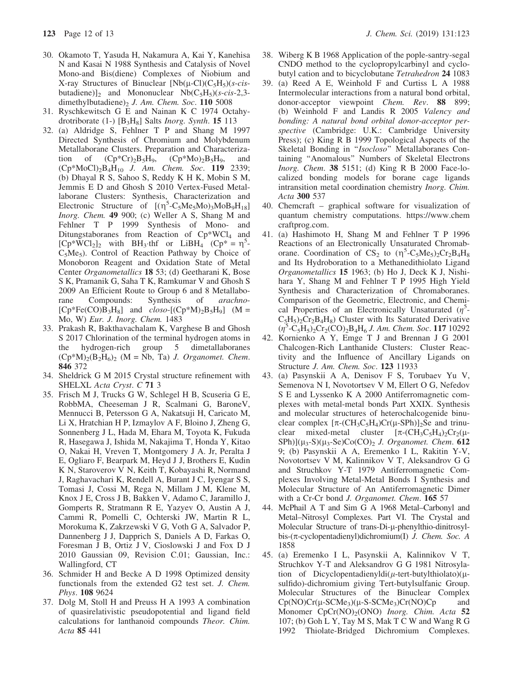- 30. Okamoto T, Yasuda H, Nakamura A, Kai Y, Kanehisa N and Kasai N 1988 Synthesis and Catalysis of Novel Mono-and Bis(diene) Complexes of Niobium and X-ray Structures of Binuclear  $[Nb(\mu-C)(C_5H_5)(s-cis$ butadiene)]<sub>2</sub> and Mononuclear Nb( $C_5H_5$ )(s-cis-2,3dimethylbutadiene) $_2$  J. Am. Chem. Soc. 110 5008
- 31. Ryschkewitsch G E and Nainan K C 1974 Octahydrotriborate (1-)  $[B_3H_8]$  Salts *Inorg. Synth*. **15** 113
- 32. (a) Aldridge S, Fehlner T P and Shang M 1997 Directed Synthesis of Chromium and Molybdenum Metallaborane Clusters. Preparation and Characterization of  $(Cp^*Cr)_2B_5H_9$ ,  $(Cp^*Mo)_2B_5H_9$ , and  $(Cp*MoCl)<sub>2</sub>B<sub>4</sub>H<sub>10</sub>$  J. Am. Chem. Soc. 119 2339; (b) Dhayal R S, Sahoo S, Reddy K H K, Mobin S M, Jemmis E D and Ghosh S 2010 Vertex-Fused Metallaborane Clusters: Synthesis, Characterization and Electronic Structure of  $[(\eta^5 - C_5M_e)\omega_3M_0B_9H_{18}]$ <br>Inore Chem 49 900: (c) Weller A S. Shang M and Inorg. Chem. 49 900; (c) Weller A S, Shang M and Fehlner T P 1999 Synthesis of Mono- and Ditungstaboranes from Reaction of Cp\*WCl<sub>4</sub> and  $[CP^* \overline{W}Cl_2]_2$  with BH<sub>3</sub>·thf or LiBH<sub>4</sub>  $(Cp^* = \eta^5-CeMe_e)$  Control of Reaction Pathway by Choice of  $C_5Me_5$ ). Control of Reaction Pathway by Choice of Monoboron Reagent and Oxidation State of Metal Center Organometallics 18 53; (d) Geetharani K, Bose S K, Pramanik G, Saha T K, Ramkumar V and Ghosh S 2009 An Efficient Route to Group 6 and 8 Metallaborane Compounds: Synthesis of *arachno*rane Compounds: Synthesis of arachno-  $[Cp*Fe(CO)B_3H_8]$  and  $closo-[(Cp*M)_2B_5H_9]$  (M = Mo, W) Eur. J. Inorg. Chem. 1483
- 33. Prakash R, Bakthavachalam K, Varghese B and Ghosh S 2017 Chlorination of the terminal hydrogen atoms in the hydrogen-rich group 5 dimetallaboranes the hydrogen-rich group 5 dimetallaboranes  $(Cp*M)<sub>2</sub>(B<sub>2</sub>H<sub>6</sub>)<sub>2</sub>$  (M = Nb, Ta) *J. Organomet. Chem.* 846 372
- 34. Sheldrick G M 2015 Crystal structure refinement with SHELXL Acta Cryst. C 71 3
- 35. Frisch M J, Trucks G W, Schlegel H B, Scuseria G E, RobbMA, Cheeseman J R, Scalmani G, BaroneV, Mennucci B, Petersson G A, Nakatsuji H, Caricato M, Li X, Hratchian H P, Izmaylov A F, Bloino J, Zheng G, Sonnenberg J L, Hada M, Ehara M, Toyota K, Fukuda R, Hasegawa J, Ishida M, Nakajima T, Honda Y, Kitao O, Nakai H, Vreven T, Montgomery J A. Jr, Peralta J E, Ogliaro F, Bearpark M, Heyd J J, Brothers E, Kudin K N, Staroverov V N, Keith T, Kobayashi R, Normand J, Raghavachari K, Rendell A, Burant J C, Iyengar S S, Tomasi J, Cossi M, Rega N, Millam J M, Klene M, Knox J E, Cross J B, Bakken V, Adamo C, Jaramillo J, Gomperts R, Stratmann R E, Yazyev O, Austin A J, Cammi R, Pomelli C, Ochterski JW, Martin R L, Morokuma K, Zakrzewski V G, Voth G A, Salvador P, Dannenberg J J, Dapprich S, Daniels A D, Farkas O, Foresman J B, Ortiz J V, Cioslowski J and Fox D J 2010 Gaussian 09, Revision C.01; Gaussian, Inc.: Wallingford, CT
- 36. Schmider H and Becke A D 1998 Optimized density functionals from the extended G2 test set. J. Chem. Phys. 108 9624
- 37. Dolg M, Stoll H and Preuss H A 1993 A combination of quasirelativistic pseudopotential and ligand field calculations for lanthanoid compounds Theor. Chim. Acta 85 441
- 38. Wiberg K B 1968 Application of the pople-santry-segal CNDO method to the cyclopropylcarbinyl and cyclobutyl cation and to bicyclobutane Tetrahedron 24 1083
- 39. (a) Reed A E, Weinhold F and Curtiss L A 1988 Intermolecular interactions from a natural bond orbital, donor-acceptor viewpoint Chem. Rev. 88 899; (b) Weinhold F and Landis R 2005 Valency and bonding: A natural bond orbital donor-acceptor perspective (Cambridge: U.K.: Cambridge University Press); (c) King R B 1999 Topological Aspects of the Skeletal Bonding in "Isocloso" Metallaboranes Containing ''Anomalous'' Numbers of Skeletal Electrons Inorg. Chem. 38 5151; (d) King R B 2000 Face-localized bonding models for borane cage ligands intransition metal coordination chemistry Inorg. Chim. Acta 300 537
- 40. Chemcraft graphical software for visualization of quantum chemistry computations. https://www.chem craftprog.com.
- 41. (a) Hashimoto H, Shang M and Fehlner T P 1996 Reactions of an Electronically Unsaturated Chromaborane. Coordination of  $CS_2$  to  $(\eta^5 - C_5Me_5)_2Cr_2B_4H_8$ <br>and Its Hydroboration to a Methanedithiolato Ligand and Its Hydroboration to a Methanedithiolato Ligand Organometallics 15 1963; (b) Ho J, Deck K J, Nishihara Y, Shang M and Fehlner T P 1995 High Yield Synthesis and Characterization of Chromaboranes. Comparison of the Geometric, Electronic, and Chemical Properties of an Electronically Unsaturated  $(\eta^5$ - $C_5H_5$ )<sub>2</sub> $C_2B_4H_8$ ) Cluster with Its Saturated Derivative  $(\eta^5$ -C<sub>5</sub>H<sub>5</sub>)<sub>2</sub>Cr<sub>2</sub>(CO)<sub>2</sub>B<sub>4</sub>H<sub>6</sub> J. Am. Chem. Soc. 117 10292
- 42. Kornienko A Y, Emge T J and Brennan J G 2001 Chalcogen-Rich Lanthanide Clusters: Cluster Reactivity and the Influence of Ancillary Ligands on Structure J. Am. Chem. Soc. 123 11933
- 43. (a) Pasynskii A A, Denisov F S, Torubaev Yu V, Semenova N I, Novotortsev V M, Ellert O G, Nefedov S E and Lyssenko K A 2000 Antiferromagnetic complexes with metal-metal bonds Part XXIX. Synthesis and molecular structures of heterochalcogenide binuclear complex  $[\pi-(CH_3C_5H_4)Cr(\mu-SPh)]_2$ Se and trinu-<br>clear mixed-metal cluster  $[\pi-(CH_3C_5H_4)_{2}Cr_2(\mu$ mixed-metal cluster  $[\pi-(CH_3C_5H_4)_2Cr_2(\mu-$ SPh)] $(\mu_3-S)(\mu_3-Se)Co(CO)_2$  J. Organomet. Chem. 612 9; (b) Pasynskii A A, Eremenko I L, Rakitin Y-V, Novotortsev V M, Kalinnikov V T, Aleksandrov G G and Struchkov Y-T 1979 Antiferromagnetic Complexes Involving Metal-Metal Bonds I Synthesis and Molecular Structure of An Antiferromagnetic Dimer with a Cr-Cr bond *J. Organomet. Chem.* **165** 57
- 44. McPhail A T and Sim G A 1968 Metal–Carbonyl and Metal–Nitrosyl Complexes. Part VI. The Crystal and Molecular Structure of trans-Di-µ-phenylthio-dinitrosylbis- $(\pi$ -cyclopentadienyl)dichromium(I) J. Chem. Soc. A 1858
- 45. (a) Eremenko I L, Pasynskii A, Kalinnikov V T, Struchkov Y-T and Aleksandrov G G 1981 Nitrosylation of Dicyclopentadienyldi( $\mu$ -tert-butylthiolato)( $\mu$ sulfido)-dichromium giving Tert-butylsulfanic Group. Molecular Structures of the Binuclear Complex  $Cp(NO)Cr(\mu-SCMe_3)(\mu-S-SCMe_3)Cr(NO)Cp$  and Monomer CpCr(NO)<sub>2</sub>(ONO) Inorg. Chim. Acta 52 107; (b) Goh L Y, Tay M S, Mak T C W and Wang R G 1992 Thiolate-Bridged Dichromium Complexes.